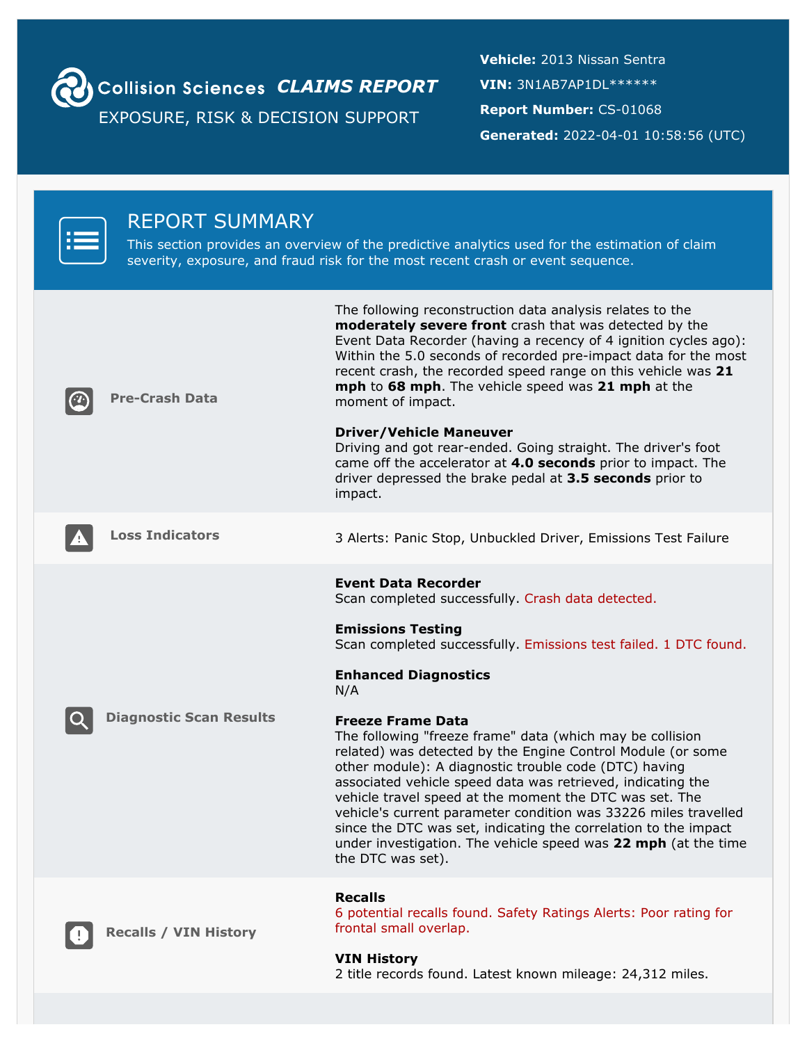

**COLL** Collision Sciences *CLAIMS REPORT* 

EXPOSURE, RISK & DECISION SUPPORT

**Vehicle:** 2013 Nissan Sentra **VIN:** 3N1AB7AP1DL\*\*\*\*\*\* **Report Number:** CS-01068 **Generated:** 2022-04-01 10:58:56 (UTC)

| <b>REPORT SUMMARY</b>          | This section provides an overview of the predictive analytics used for the estimation of claim<br>severity, exposure, and fraud risk for the most recent crash or event sequence.                                                                                                                                                                                                                                                                                                                                                                                                                                                                                                                                                                                                             |
|--------------------------------|-----------------------------------------------------------------------------------------------------------------------------------------------------------------------------------------------------------------------------------------------------------------------------------------------------------------------------------------------------------------------------------------------------------------------------------------------------------------------------------------------------------------------------------------------------------------------------------------------------------------------------------------------------------------------------------------------------------------------------------------------------------------------------------------------|
| <b>Pre-Crash Data</b>          | The following reconstruction data analysis relates to the<br>moderately severe front crash that was detected by the<br>Event Data Recorder (having a recency of 4 ignition cycles ago):<br>Within the 5.0 seconds of recorded pre-impact data for the most<br>recent crash, the recorded speed range on this vehicle was 21<br>mph to 68 mph. The vehicle speed was 21 mph at the<br>moment of impact.<br><b>Driver/Vehicle Maneuver</b><br>Driving and got rear-ended. Going straight. The driver's foot<br>came off the accelerator at 4.0 seconds prior to impact. The<br>driver depressed the brake pedal at 3.5 seconds prior to<br>impact.                                                                                                                                              |
| <b>Loss Indicators</b>         | 3 Alerts: Panic Stop, Unbuckled Driver, Emissions Test Failure                                                                                                                                                                                                                                                                                                                                                                                                                                                                                                                                                                                                                                                                                                                                |
| <b>Diagnostic Scan Results</b> | <b>Event Data Recorder</b><br>Scan completed successfully. Crash data detected.<br><b>Emissions Testing</b><br>Scan completed successfully. Emissions test failed. 1 DTC found.<br><b>Enhanced Diagnostics</b><br>N/A<br><b>Freeze Frame Data</b><br>The following "freeze frame" data (which may be collision<br>related) was detected by the Engine Control Module (or some<br>other module): A diagnostic trouble code (DTC) having<br>associated vehicle speed data was retrieved, indicating the<br>vehicle travel speed at the moment the DTC was set. The<br>vehicle's current parameter condition was 33226 miles travelled<br>since the DTC was set, indicating the correlation to the impact<br>under investigation. The vehicle speed was 22 mph (at the time<br>the DTC was set). |
| <b>Recalls / VIN History</b>   | <b>Recalls</b><br>6 potential recalls found. Safety Ratings Alerts: Poor rating for<br>frontal small overlap.<br><b>VIN History</b><br>2 title records found. Latest known mileage: 24,312 miles.                                                                                                                                                                                                                                                                                                                                                                                                                                                                                                                                                                                             |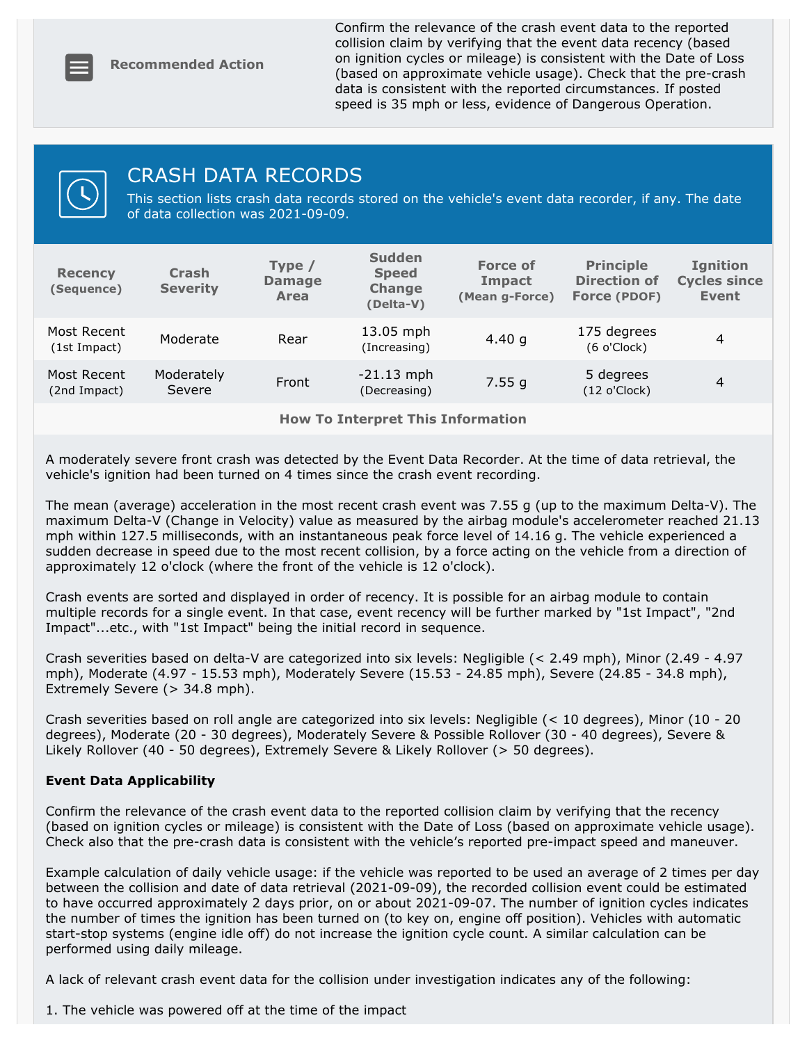**Recommended Action**

Confirm the relevance of the crash event data to the reported collision claim by verifying that the event data recency (based on ignition cycles or mileage) is consistent with the Date of Loss (based on approximate vehicle usage). Check that the pre-crash data is consistent with the reported circumstances. If posted speed is 35 mph or less, evidence of Dangerous Operation.



# CRASH DATA RECORDS

This section lists crash data records stored on the vehicle's event data recorder, if any. The date of data collection was 2021-09-09.

| <b>Recency</b><br>(Sequence) | <b>Crash</b><br><b>Severity</b> | Type $/$<br><b>Damage</b><br><b>Area</b> | <b>Sudden</b><br><b>Speed</b><br>Change<br>(Delta-V) | <b>Force of</b><br>Impact<br>(Mean g-Force) | <b>Principle</b><br><b>Direction of</b><br>Force (PDOF) | <b>Ignition</b><br><b>Cycles since</b><br><b>Event</b> |
|------------------------------|---------------------------------|------------------------------------------|------------------------------------------------------|---------------------------------------------|---------------------------------------------------------|--------------------------------------------------------|
| Most Recent<br>(1st Impact)  | Moderate                        | Rear                                     | 13.05 mph<br>(Increasing)                            | 4.40 $g$                                    | 175 degrees<br>(6 o'Clock)                              | 4                                                      |
| Most Recent<br>(2nd Impact)  | Moderately<br>Severe            | Front                                    | $-21.13$ mph<br>(Decreasing)                         | 7.55g                                       | 5 degrees<br>(12 o'Clock)                               | $\overline{4}$                                         |

**How To Interpret This Information**

A moderately severe front crash was detected by the Event Data Recorder. At the time of data retrieval, the vehicle's ignition had been turned on 4 times since the crash event recording.

The mean (average) acceleration in the most recent crash event was 7.55 g (up to the maximum Delta-V). The maximum Delta-V (Change in Velocity) value as measured by the airbag module's accelerometer reached 21.13 mph within 127.5 milliseconds, with an instantaneous peak force level of 14.16 g. The vehicle experienced a sudden decrease in speed due to the most recent collision, by a force acting on the vehicle from a direction of approximately 12 o'clock (where the front of the vehicle is 12 o'clock).

Crash events are sorted and displayed in order of recency. It is possible for an airbag module to contain multiple records for a single event. In that case, event recency will be further marked by "1st Impact", "2nd Impact"...etc., with "1st Impact" being the initial record in sequence.

Crash severities based on delta-V are categorized into six levels: Negligible (< 2.49 mph), Minor (2.49 - 4.97 mph), Moderate (4.97 - 15.53 mph), Moderately Severe (15.53 - 24.85 mph), Severe (24.85 - 34.8 mph), Extremely Severe (> 34.8 mph),

Crash severities based on roll angle are categorized into six levels: Negligible (< 10 degrees), Minor (10 - 20 degrees), Moderate (20 - 30 degrees), Moderately Severe & Possible Rollover (30 - 40 degrees), Severe & Likely Rollover (40 - 50 degrees), Extremely Severe & Likely Rollover (> 50 degrees).

#### **Event Data Applicability**

Confirm the relevance of the crash event data to the reported collision claim by verifying that the recency (based on ignition cycles or mileage) is consistent with the Date of Loss (based on approximate vehicle usage).<br>Check also that the pre-crash data is consistent with the vehicle's reported pre-impact speed and maneuver.

Example calculation of daily vehicle usage: ifthe vehicle was reported to be used an average of 2 times per day between the collision and date of data retrieval (2021-09-09), the recorded collision event could be estimated to have occurred approximately 2 days prior, on or about 2021-09-07. The number of ignition cycles indicates the number of times the ignition has been turned on (to key on, engine off position). Vehicles with automatic start-stop systems (engine idle off) do not increase the ignition cycle count. A similar calculation can be performed using daily mileage.

A lack of relevant crash event data for the collision under investigation indicates any of the following:

1. The vehicle was powered off at the time of the impact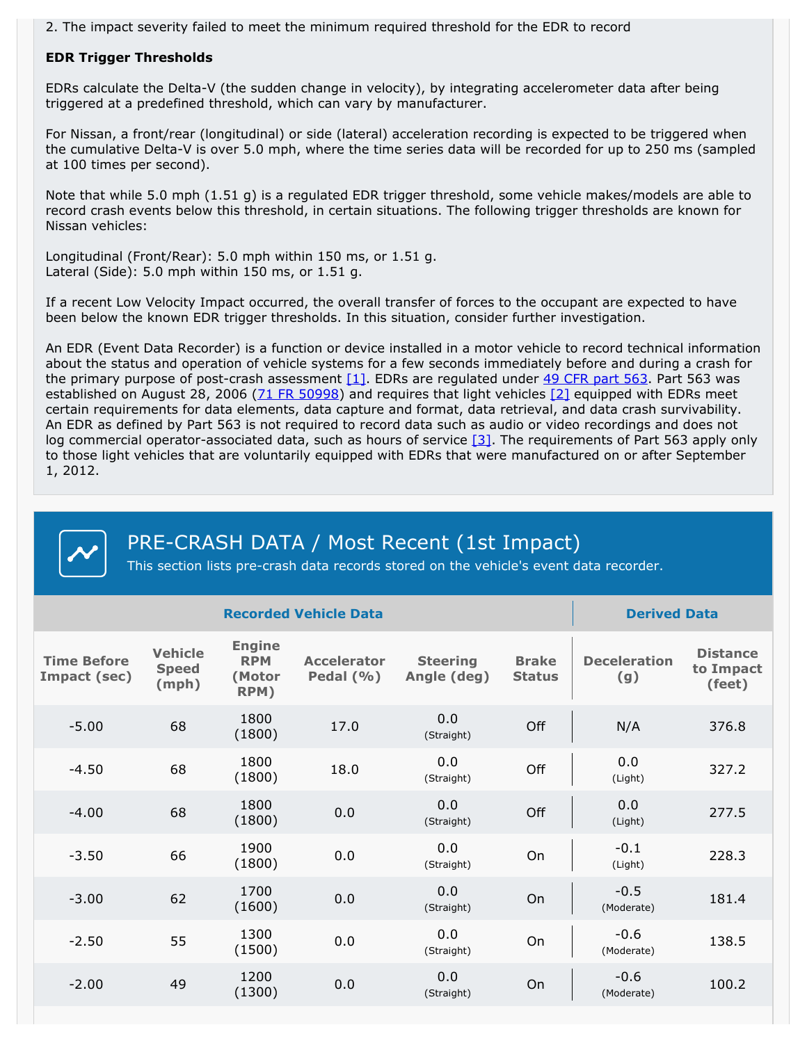2. The impact severity failed to meet the minimum required threshold for the EDR to record

#### **EDR Trigger Thresholds**

EDRs calculate the Delta-V (the sudden change in velocity), by integrating accelerometer data after being triggered at a predefined threshold, which can vary by manufacturer.

For Nissan, a front/rear (longitudinal) or side (lateral) acceleration recording is expected to be triggered when the cumulative Delta-V is over 5.0 mph, where the time series data will be recorded for up to 250 ms (sampled at 100 times per second).

Note that while 5.0 mph (1.51 g) is a regulated EDR trigger threshold, some vehicle makes/models are able to record crash events below this threshold, in certain situations. The following trigger thresholds are known for Nissan vehicles:

Longitudinal (Front/Rear): 5.0 mph within 150 ms, or 1.51 g. Lateral (Side): 5.0 mph within 150 ms, or 1.51 g.

If a recent Low Velocity Impact occurred, the overall transfer of forces to the occupant are expected to have been below the known EDR trigger thresholds. In this situation, consider further investigation.

An EDR (Event Data Recorder) is a function or device installed in a motor vehicle to record technical information about the status and operation of vehicle systems for a few seconds immediately before and during a crash for the primary purpose of post-crash assessment  $[1]$ . EDRs are regulated under 49 CFR [part](https://www.federalregister.gov/select-citation/2019/02/08/49-CFR-563) 563. Part 563 was established on August 28, 2006 ( $71$  FR [50998](https://www.federalregister.gov/citation/71-FR-50998)) and requires that light vehicles  $[2]$  equipped with EDRs meet certain requirements for data elements, data capture and format, data retrieval, and data crash survivability.<br>An EDR as defined by Part 563 is not required to record data such as audio or video recordings and does not log commercial operator-associated data, such as hours of service  $[3]$ . The requirements of Part 563 apply only to those light vehicles that are voluntarily equipped with EDRs that were manufactured on or after September 1, 2012.



# PRE-CRASH DATA / Most Recent (1st Impact)

This section lists pre-crash data records stored on the vehicle's event data recorder.

|                                    |                                         |                                               | <b>Recorded Vehicle Data</b>        |                                |                               | <b>Derived Data</b>        |                                        |
|------------------------------------|-----------------------------------------|-----------------------------------------------|-------------------------------------|--------------------------------|-------------------------------|----------------------------|----------------------------------------|
| <b>Time Before</b><br>Impact (sec) | <b>Vehicle</b><br><b>Speed</b><br>(mph) | <b>Engine</b><br><b>RPM</b><br>(Motor<br>RPM) | <b>Accelerator</b><br>Pedal $(\% )$ | <b>Steering</b><br>Angle (deg) | <b>Brake</b><br><b>Status</b> | <b>Deceleration</b><br>(g) | <b>Distance</b><br>to Impact<br>(feet) |
| $-5.00$                            | 68                                      | 1800<br>(1800)                                | 17.0                                | 0.0<br>(Straight)              | Off                           | N/A                        | 376.8                                  |
| $-4.50$                            | 68                                      | 1800<br>(1800)                                | 18.0                                | 0.0<br>(Straight)              | Off                           | 0.0<br>(Light)             | 327.2                                  |
| $-4.00$                            | 68                                      | 1800<br>(1800)                                | 0.0                                 | 0.0<br>(Straight)              | Off                           | 0.0<br>(Light)             | 277.5                                  |
| $-3.50$                            | 66                                      | 1900<br>(1800)                                | 0.0                                 | 0.0<br>(Straight)              | On                            | $-0.1$<br>(Light)          | 228.3                                  |
| $-3.00$                            | 62                                      | 1700<br>(1600)                                | 0.0                                 | 0.0<br>(Straight)              | On                            | $-0.5$<br>(Moderate)       | 181.4                                  |
| $-2.50$                            | 55                                      | 1300<br>(1500)                                | 0.0                                 | 0.0<br>(Straight)              | On                            | $-0.6$<br>(Moderate)       | 138.5                                  |
| $-2.00$                            | 49                                      | 1200<br>(1300)                                | 0.0                                 | 0.0<br>(Straight)              | On                            | $-0.6$<br>(Moderate)       | 100.2                                  |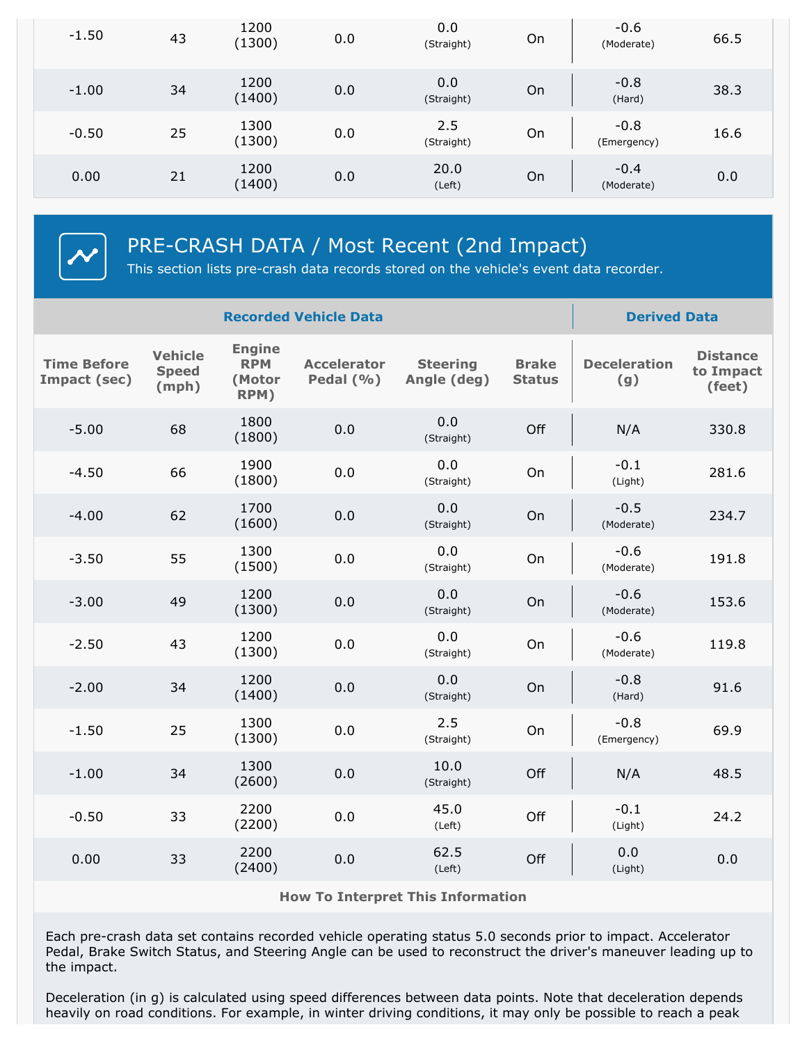| $-1.50$ | 43 | 1200<br>(1300) | 0.0 | 0.0<br>(Straight) | On | $-0.6$<br>(Moderate)  | 66.5 |  |
|---------|----|----------------|-----|-------------------|----|-----------------------|------|--|
| $-1.00$ | 34 | 1200<br>(1400) | 0.0 | 0.0<br>(Straight) | On | $-0.8$<br>(Hard)      | 38.3 |  |
| $-0.50$ | 25 | 1300<br>(1300) | 0.0 | 2.5<br>(Straight) | On | $-0.8$<br>(Emergency) | 16.6 |  |
| 0.00    | 21 | 1200<br>(1400) | 0.0 | 20.0<br>(Left)    | On | $-0.4$<br>(Moderate)  | 0.0  |  |



# PRE-CRASH DATA / Most Recent (2nd Impact)

This section lists pre-crash data records stored on the vehicle's event data recorder.

| <b>Recorded Vehicle Data</b> |                                    |                                         |                                               |                                     |                                | <b>Derived Data</b>           |                            |                                        |
|------------------------------|------------------------------------|-----------------------------------------|-----------------------------------------------|-------------------------------------|--------------------------------|-------------------------------|----------------------------|----------------------------------------|
|                              | <b>Time Before</b><br>Impact (sec) | <b>Vehicle</b><br><b>Speed</b><br>(mph) | <b>Engine</b><br><b>RPM</b><br>(Motor<br>RPM) | <b>Accelerator</b><br>Pedal $(\% )$ | <b>Steering</b><br>Angle (deg) | <b>Brake</b><br><b>Status</b> | <b>Deceleration</b><br>(g) | <b>Distance</b><br>to Impact<br>(feet) |
|                              | $-5.00$                            | 68                                      | 1800<br>(1800)                                | 0.0                                 | 0.0<br>(Straight)              | Off                           | N/A                        | 330.8                                  |
|                              | $-4.50$                            | 66                                      | 1900<br>(1800)                                | 0.0                                 | 0.0<br>(Straight)              | On                            | $-0.1$<br>(Light)          | 281.6                                  |
|                              | $-4.00$                            | 62                                      | 1700<br>(1600)                                | 0.0                                 | 0.0<br>(Straight)              | On                            | $-0.5$<br>(Moderate)       | 234.7                                  |
|                              | $-3.50$                            | 55                                      | 1300<br>(1500)                                | 0.0                                 | 0.0<br>(Straight)              | On                            | $-0.6$<br>(Moderate)       | 191.8                                  |
|                              | $-3.00$                            | 49                                      | 1200<br>(1300)                                | 0.0                                 | 0.0<br>(Straight)              | On                            | $-0.6$<br>(Moderate)       | 153.6                                  |
|                              | $-2.50$                            | 43                                      | 1200<br>(1300)                                | 0.0                                 | 0.0<br>(Straight)              | On                            | $-0.6$<br>(Moderate)       | 119.8                                  |
|                              | $-2.00$                            | 34                                      | 1200<br>(1400)                                | 0.0                                 | 0.0<br>(Straight)              | On                            | $-0.8$<br>(Hard)           | 91.6                                   |
|                              | $-1.50$                            | 25                                      | 1300<br>(1300)                                | 0.0                                 | 2.5<br>(Straight)              | On                            | $-0.8$<br>(Emergency)      | 69.9                                   |
|                              | $-1.00$                            | 34                                      | 1300<br>(2600)                                | 0.0                                 | 10.0<br>(Straight)             | Off                           | N/A                        | 48.5                                   |
|                              | $-0.50$                            | 33                                      | 2200<br>(2200)                                | 0.0                                 | 45.0<br>(Left)                 | Off                           | $-0.1$<br>(Light)          | 24.2                                   |
|                              | 0.00                               | 33                                      | 2200<br>(2400)                                | 0.0                                 | 62.5<br>(Left)                 | Off                           | 0.0<br>(Light)             | 0.0                                    |
|                              |                                    |                                         |                                               |                                     |                                |                               |                            |                                        |

**How To Interpret This Information**

Each pre-crash data set contains recorded vehicle operating status 5.0 seconds prior to impact. Accelerator Pedal, Brake Switch Status, and Steering Angle can be used to reconstruct the driver's maneuver leading up to the impact.

Deceleration (in g) is calculated using speed differences between data points. Note that deceleration depends heavily on road conditions. For example, in winter driving conditions, it may only be possible to reach a peak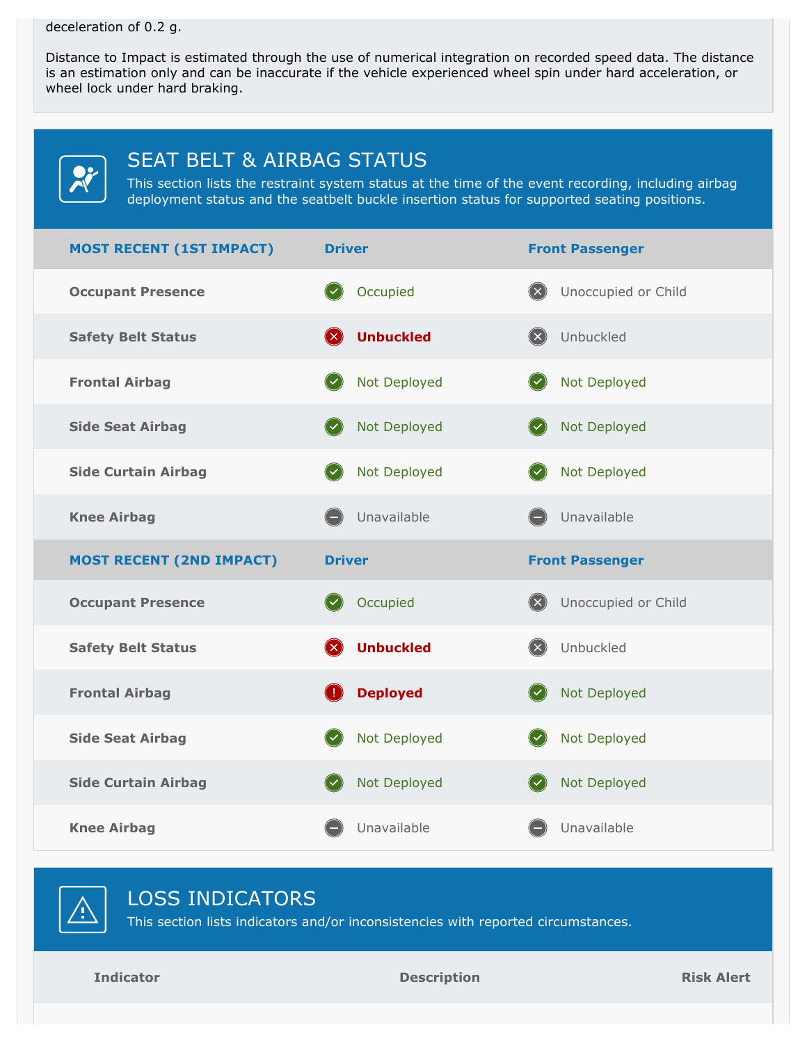deceleration of 0.2 g.

Distance to Impact is estimated through the use of numerical integration on recorded speed data. The distance is an estimation only and can be inaccurate if the vehicle experienced wheel spin under hard acceleration, or wheel lock under hard braking.



# SEAT BELT & AIRBAG STATUS

This section lists the restraint system status at the time of the event recording, including airbag deployment status and the seatbelt buckle insertion status for supported seating positions.

| <b>MOST RECENT (1ST IMPACT)</b> | <b>Driver</b>       | <b>Front Passenger</b>            |
|---------------------------------|---------------------|-----------------------------------|
| <b>Occupant Presence</b>        | Occupied            | Unoccupied or Child<br>$(\times)$ |
| <b>Safety Belt Status</b>       | <b>Unbuckled</b>    | Unbuckled<br>$(\times)$           |
| <b>Frontal Airbag</b>           | Not Deployed        | Not Deployed                      |
| <b>Side Seat Airbag</b>         | Not Deployed        | Not Deployed                      |
| <b>Side Curtain Airbag</b>      | <b>Not Deployed</b> | Not Deployed                      |
| <b>Knee Airbag</b>              | Unavailable         | Unavailable                       |
|                                 |                     |                                   |
| <b>MOST RECENT (2ND IMPACT)</b> | <b>Driver</b>       | <b>Front Passenger</b>            |
| <b>Occupant Presence</b>        | Occupied            | Unoccupied or Child<br>$(\times)$ |
| <b>Safety Belt Status</b>       | <b>Unbuckled</b>    | Unbuckled<br>$(\times)$           |
| <b>Frontal Airbag</b>           | <b>Deployed</b>     | Not Deployed                      |
| <b>Side Seat Airbag</b>         | Not Deployed        | Not Deployed                      |
| <b>Side Curtain Airbag</b>      | Not Deployed        | Not Deployed                      |

LOSS INDICATORS

This section lists indicators and/or inconsistencies with reported circumstances.

**Indicator Description Risk Alert**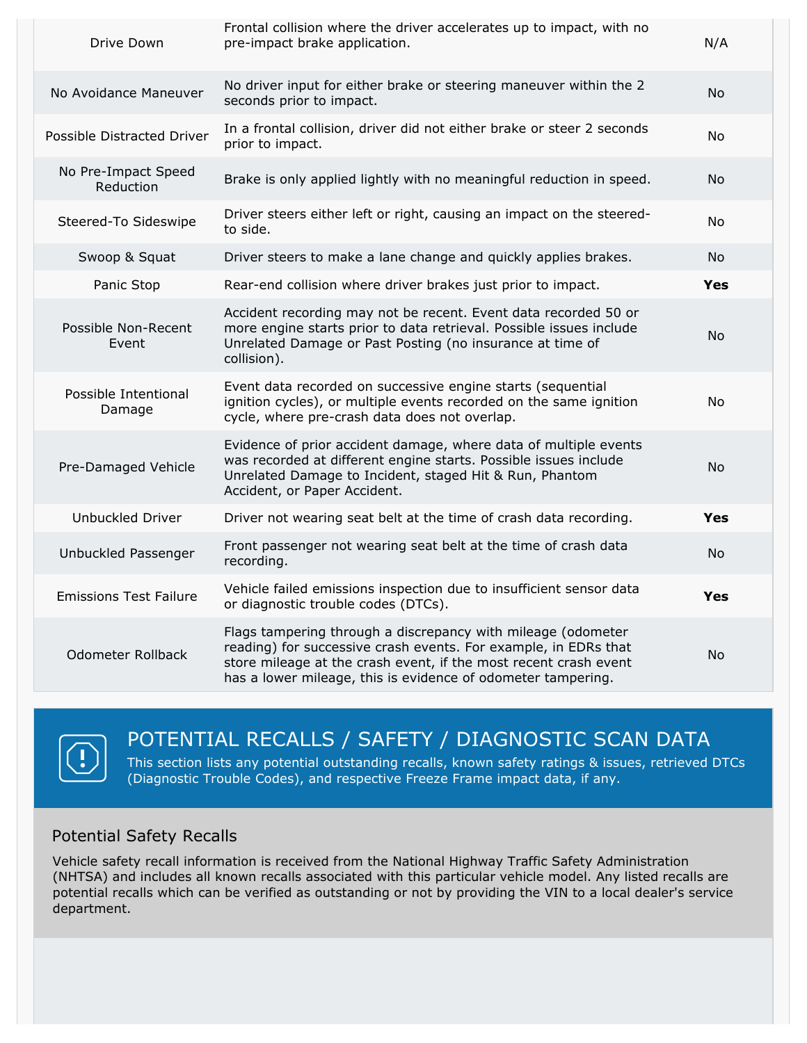| Drive Down                       | Frontal collision where the driver accelerates up to impact, with no<br>pre-impact brake application.                                                                                                                                                               | N/A        |
|----------------------------------|---------------------------------------------------------------------------------------------------------------------------------------------------------------------------------------------------------------------------------------------------------------------|------------|
| No Avoidance Maneuver            | No driver input for either brake or steering maneuver within the 2<br>seconds prior to impact.                                                                                                                                                                      | <b>No</b>  |
| Possible Distracted Driver       | In a frontal collision, driver did not either brake or steer 2 seconds<br>prior to impact.                                                                                                                                                                          | <b>No</b>  |
| No Pre-Impact Speed<br>Reduction | Brake is only applied lightly with no meaningful reduction in speed.                                                                                                                                                                                                | <b>No</b>  |
| Steered-To Sideswipe             | Driver steers either left or right, causing an impact on the steered-<br>to side.                                                                                                                                                                                   | No.        |
| Swoop & Squat                    | Driver steers to make a lane change and quickly applies brakes.                                                                                                                                                                                                     | No.        |
| Panic Stop                       | Rear-end collision where driver brakes just prior to impact.                                                                                                                                                                                                        | <b>Yes</b> |
| Possible Non-Recent<br>Event     | Accident recording may not be recent. Event data recorded 50 or<br>more engine starts prior to data retrieval. Possible issues include<br>Unrelated Damage or Past Posting (no insurance at time of<br>collision).                                                  | <b>No</b>  |
| Possible Intentional<br>Damage   | Event data recorded on successive engine starts (sequential<br>ignition cycles), or multiple events recorded on the same ignition<br>cycle, where pre-crash data does not overlap.                                                                                  | <b>No</b>  |
| Pre-Damaged Vehicle              | Evidence of prior accident damage, where data of multiple events<br>was recorded at different engine starts. Possible issues include<br>Unrelated Damage to Incident, staged Hit & Run, Phantom<br>Accident, or Paper Accident.                                     | No.        |
| Unbuckled Driver                 | Driver not wearing seat belt at the time of crash data recording.                                                                                                                                                                                                   | <b>Yes</b> |
| Unbuckled Passenger              | Front passenger not wearing seat belt at the time of crash data<br>recording.                                                                                                                                                                                       | <b>No</b>  |
| <b>Emissions Test Failure</b>    | Vehicle failed emissions inspection due to insufficient sensor data<br>or diagnostic trouble codes (DTCs).                                                                                                                                                          | Yes        |
| <b>Odometer Rollback</b>         | Flags tampering through a discrepancy with mileage (odometer<br>reading) for successive crash events. For example, in EDRs that<br>store mileage at the crash event, if the most recent crash event<br>has a lower mileage, this is evidence of odometer tampering. | No         |



# POTENTIAL RECALLS / SAFETY / DIAGNOSTIC SCAN DATA

This section lists any potential outstanding recalls, known safety ratings & issues, retrieved DTCs (Diagnostic Trouble Codes), and respective Freeze Frame impact data, if any.

### Potential Safety Recalls

Vehicle safety recall information is received from the National Highway Traffic Safety Administration (NHTSA) and includes all known recalls associated with this particular vehicle model. Any listed recalls are potential recalls which can be verified as outstanding or not by providing the VIN to a local dealer's service department.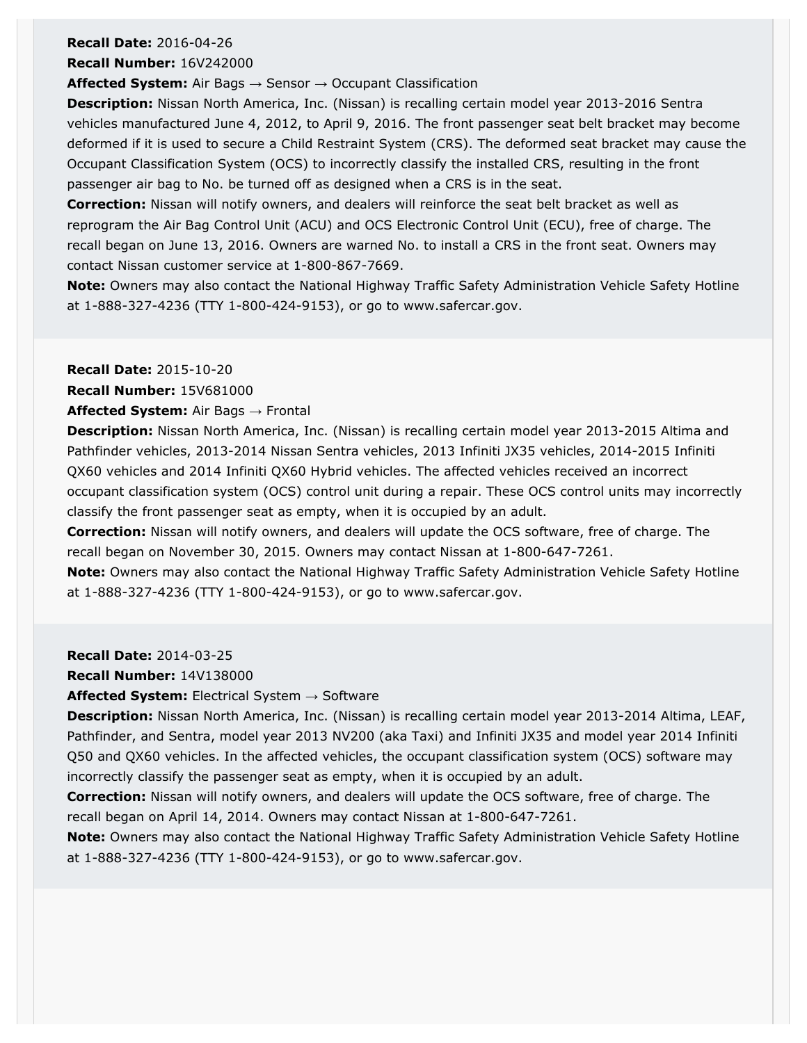### **Recall Date:** 2016-04-26

**Recall Number:** 16V242000

**Affected System:** Air Bags → Sensor → Occupant Classification

**Description:** Nissan North America, Inc. (Nissan) is recalling certain model year 2013-2016 Sentra vehicles manufactured June 4, 2012, to April 9, 2016. The front passenger seat belt bracket may become deformed if it is used to secure a Child Restraint System (CRS). The deformed seat bracket may cause the Occupant Classification System (OCS) to incorrectly classify the installed CRS, resulting in the front passenger air bag to No. be turned off as designed when a CRS is in the seat.

**Correction:** Nissan will notify owners, and dealers will reinforce the seat belt bracket as wellas reprogram the Air Bag Control Unit (ACU) and OCS Electronic Control Unit (ECU), free of charge. The recall began on June 13, 2016. Owners are warned No. to install a CRS in the front seat. Owners may contact Nissan customer service at 1-800-867-7669.

**Note:** Owners may also contact the National Highway Traffic Safety Administration Vehicle Safety Hotline at 1-888-327-4236 (TTY 1-800-424-9153), or go to www.safercar.gov.

**Recall Date:** 2015-10-20

**Recall Number:** 15V681000

**Affected System:** Air Bags → Frontal

**Description:** Nissan North America, Inc. (Nissan) is recalling certain model year 2013-2015 Altima and Pathfinder vehicles, 2013-2014 Nissan Sentra vehicles, 2013 Infiniti JX35 vehicles, 2014-2015 Infiniti QX60 vehicles and 2014 Infiniti QX60 Hybrid vehicles. The affected vehicles received an incorrect occupant classification system (OCS) control unit during a repair. These OCS control units may incorrectly classify the front passenger seat as empty, when it is occupied by an adult.

**Correction:** Nissan will notify owners, and dealers will update the OCS software, free of charge. The recall began on November 30, 2015. Owners may contact Nissan at 1-800-647-7261.

**Note:** Owners may also contact the National Highway Traffic Safety Administration Vehicle Safety Hotline at 1-888-327-4236 (TTY 1-800-424-9153), or go to www.safercar.gov.

**Recall Date:** 2014-03-25

**Recall Number:** 14V138000

**Affected System:** Electrical System → Software

**Description:** Nissan North America, Inc. (Nissan) is recalling certain model year 2013-2014 Altima, LEAF, Pathfinder, and Sentra, model year 2013 NV200 (aka Taxi) and Infiniti JX35 and model year 2014 Infiniti Q50 and QX60 vehicles. In the affected vehicles, the occupant classification system (OCS) software may incorrectly classify the passenger seat as empty, when it is occupied by an adult.

**Correction:** Nissan will notify owners, and dealers will update the OCS software, free of charge. The recall began on April 14, 2014. Owners may contact Nissan at 1-800-647-7261.

**Note:** Owners may also contact the National Highway Traffic Safety Administration Vehicle Safety Hotline at 1-888-327-4236 (TTY 1-800-424-9153), or go to www.safercar.gov.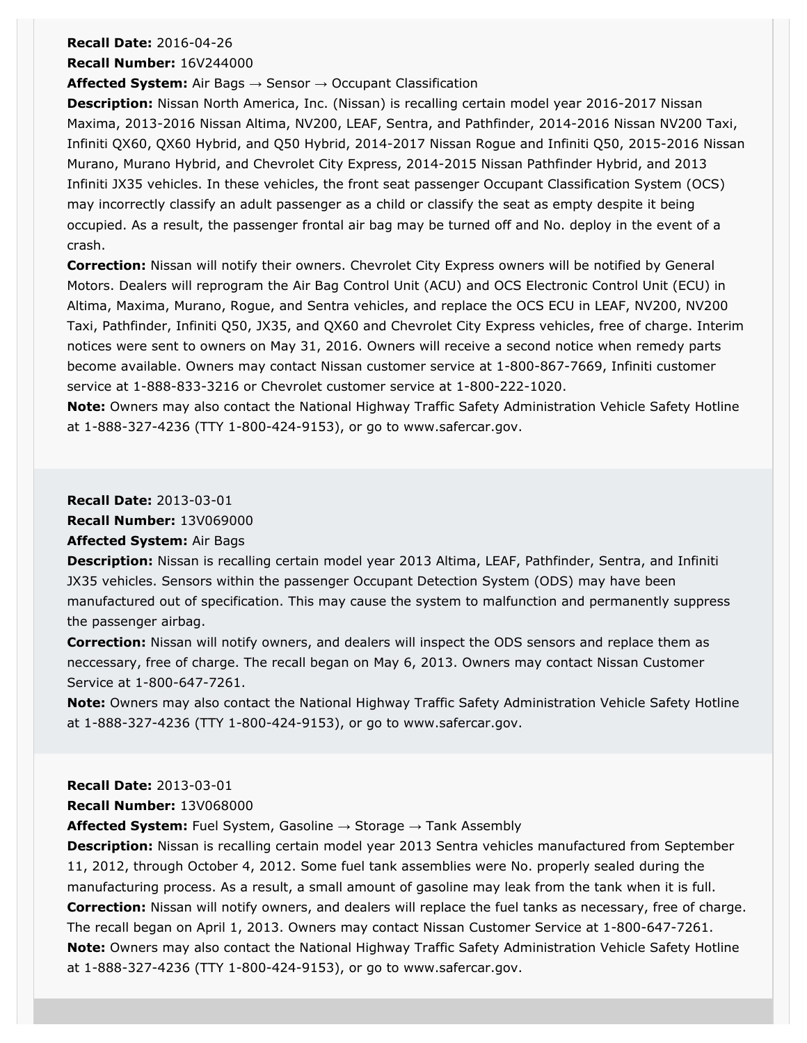### **Recall Date:** 2016-04-26

**Recall Number:** 16V244000

#### **Affected System:** Air Bags → Sensor → Occupant Classification

**Description:** Nissan North America, Inc. (Nissan) is recalling certain model year 2016-2017 Nissan Maxima, 2013-2016 Nissan Altima, NV200, LEAF, Sentra, and Pathfinder, 2014-2016 Nissan NV200 Taxi, Infiniti QX60, QX60 Hybrid, and Q50 Hybrid, 2014-2017 Nissan Rogue and Infiniti Q50, 2015-2016 Nissan Murano, Murano Hybrid, and Chevrolet City Express, 2014-2015 Nissan Pathfinder Hybrid, and 2013 Infiniti JX35 vehicles. In these vehicles, the front seat passenger Occupant Classification System (OCS) may incorrectly classify an adult passenger as a child or classify the seat as empty despite it being occupied. As a result, the passenger frontal air bag may be turned off and No. deploy in the event of a crash.

**Correction:** Nissan will notify their owners. Chevrolet City Express owners will be notified by General Motors. Dealers will reprogram the Air Bag Control Unit (ACU) and OCS Electronic Control Unit (ECU) in Altima, Maxima, Murano, Rogue, and Sentra vehicles, and replace the OCS ECU in LEAF, NV200, NV200 Taxi, Pathfinder, Infiniti Q50, JX35, and QX60 and Chevrolet City Express vehicles, free of charge. Interim notices were sent to owners on May 31, 2016. Owners will receive a second notice when remedy parts become available. Owners may contact Nissan customer service at 1-800-867-7669, Infiniti customer service at 1-888-833-3216 or Chevrolet customer service at 1-800-222-1020.

**Note:** Owners may also contact the National Highway Traffic Safety Administration Vehicle Safety Hotline at 1-888-327-4236 (TTY 1-800-424-9153), or go to www.safercar.gov.

### **Recall Date:** 2013-03-01

**Recall Number:** 13V069000

#### **Affected System:** Air Bags

**Description:** Nissan is recalling certain model year 2013 Altima, LEAF, Pathfinder, Sentra, and Infiniti JX35 vehicles. Sensors within the passenger Occupant Detection System (ODS) may have been manufactured out of specification. This may cause the system to malfunction and permanently suppress the passenger airbag.

**Correction:** Nissan will notify owners, and dealers will inspect the ODS sensors and replace them as neccessary, free of charge. The recall began on May 6, 2013. Owners may contact Nissan Customer Service at 1-800-647-7261.

**Note:** Owners may also contact the National Highway Traffic Safety Administration Vehicle Safety Hotline at 1-888-327-4236 (TTY 1-800-424-9153), or go to www.safercar.gov.

#### **Recall Date:** 2013-03-01

#### **Recall Number:** 13V068000

**Affected System:** Fuel System, Gasoline → Storage → Tank Assembly

**Description:** Nissan is recalling certain model year 2013 Sentra vehicles manufactured from September 11, 2012, through October 4, 2012. Some fuel tank assemblies were No. properly sealed during the manufacturing process. As a result, a small amount of gasoline may leak from the tank when it is full. **Correction:** Nissan will notify owners, and dealers will replace the fuel tanks as necessary, free of charge. The recall began on April 1, 2013. Owners may contact Nissan Customer Service at 1-800-647-7261. **Note:** Owners may also contact the National Highway Traffic Safety Administration Vehicle Safety Hotline at 1-888-327-4236 (TTY 1-800-424-9153), or go to www.safercar.gov.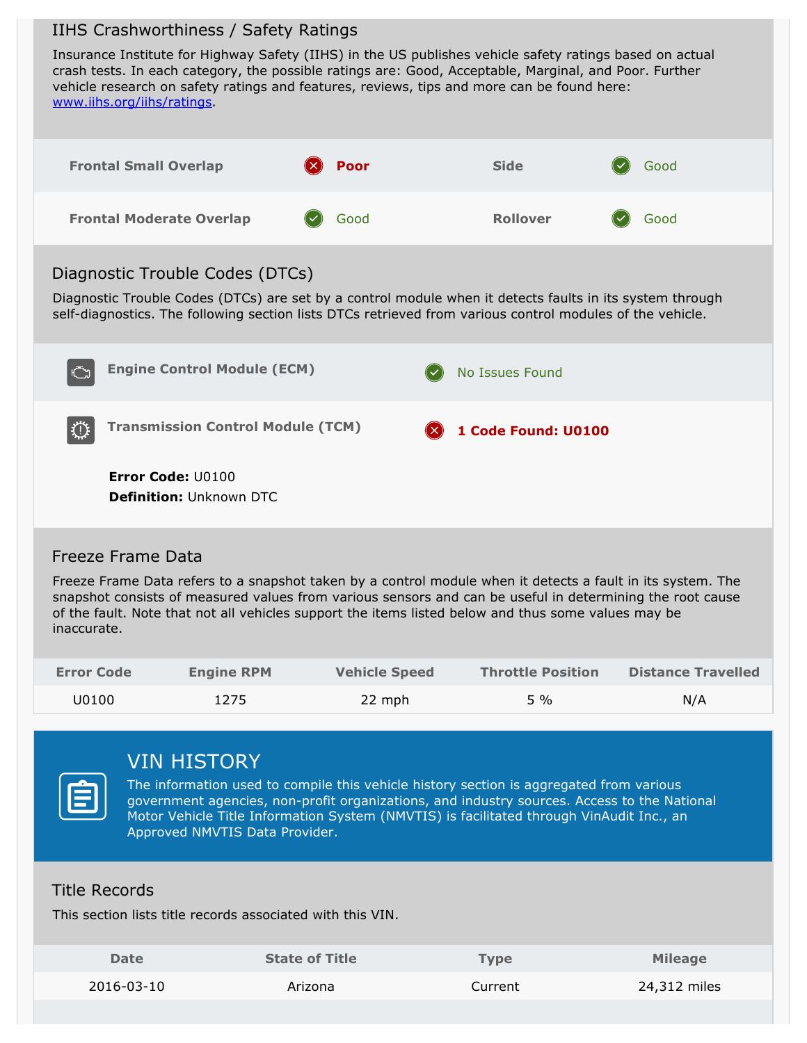### IIHS Crashworthiness / Safety Ratings

Insurance Institute for Highway Safety (IIHS) in the US publishes vehicle safety ratings based on actual crash tests. In each category, the possible ratings are: Good, Acceptable, Marginal, and Poor. Further vehicle research on safety ratings and features, reviews, tips and more can be found here: [www.iihs.org/iihs/ratings.](https://www.iihs.org/iihs/ratings)



### Diagnostic Trouble Codes (DTCs)

Diagnostic Trouble Codes (DTCs) are set by a control module when it detects faults in its system through self-diagnostics. The following section lists DTCs retrieved from various control modules of the vehicle.



### Freeze Frame Data

Freeze Frame Data refers to a snapshot taken by a control module when it detects a fault in its system. The snapshot consists of measured values from various sensors and can be useful in determining the root cause of the fault. Note that not all vehicles support the items listed below and thus some values may be inaccurate.

| <b>Error Code</b> | <b>Engine RPM</b> | <b>Vehicle Speed</b> | <b>Throttle Position</b> | <b>Distance Travelled</b> |  |
|-------------------|-------------------|----------------------|--------------------------|---------------------------|--|
| J0100             | 1275              | 22 mph               | 5 %                      | N/A                       |  |



# VIN HISTORY

The information used to compile this vehicle history section is aggregated from various government agencies, non-profit organizations, and industry sources. Access to the National Motor Vehicle Title Information System (NMVTIS) is facilitated through VinAudit Inc., an Approved NMVTIS Data Provider.

### Title Records

This section lists title records associated with this VIN.

| <b>Date</b> | <b>State of Title</b> | <b>Type</b> | <b>Mileage</b> |
|-------------|-----------------------|-------------|----------------|
| 2016-03-10  | Arizona               | Current     | 24,312 miles   |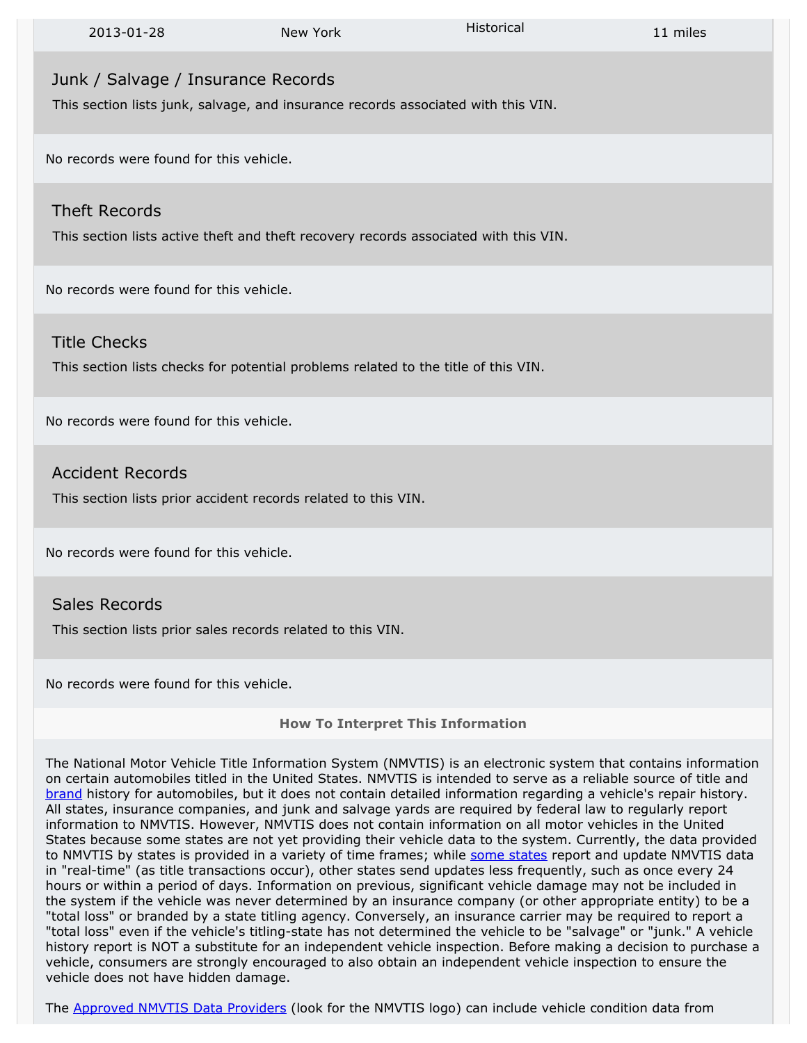| 2013-01-28                                                                                                              | New York | Historical | 11 miles |
|-------------------------------------------------------------------------------------------------------------------------|----------|------------|----------|
| Junk / Salvage / Insurance Records<br>This section lists junk, salvage, and insurance records associated with this VIN. |          |            |          |
| No records were found for this vehicle.                                                                                 |          |            |          |
| <b>Theft Records</b><br>This section lists active theft and theft recovery records associated with this VIN.            |          |            |          |
| No records were found for this vehicle.                                                                                 |          |            |          |
| <b>Title Checks</b><br>This section lists checks for potential problems related to the title of this VIN.               |          |            |          |
|                                                                                                                         |          |            |          |

No records were found for this vehicle.

#### Accident Records

This section lists prior accident records related to this VIN.

No records were found for this vehicle.

#### Sales Records

This section lists prior sales records related to this VIN.

No records were found for this vehicle.

#### **How To Interpret This Information**

The National Motor Vehicle Title Information System (NMVTIS) is an electronic system that contains information on certain automobiles titled in the United States. NMVTIS is intended to serve as a reliable source of title and [brand](https://www.vehiclehistory.gov/nmvtis_glossary.html) history for automobiles, but it does not contain detailed information regarding a vehicle's repair history.<br>All states, insurance companies, and junk and salvage yards are required by federal law to regularly report information to NMVTIS. However, NMVTIS does not contain information on all motor vehicles in the United States because some states are not yet providing their vehicle data to the system. Currently, the data provided to NMVTIS by [states](https://www.vehiclehistory.gov/nmvtis_states.html) is provided in a variety of time frames; while some states report and update NMVTIS data in "real-time" (as title transactions occur), other states send updates less frequently, such as once every 24 hours or within a period of days. Information on previous, significant vehicle damage may not be included in the system if the vehicle was never determined by an insurance company (or other appropriate entity) to be a "total loss" or branded by a state titling agency. Conversely, an insurance carrier may be required to report a "total loss" even if the vehicle's titling-state has not determined the vehicle to be "salvage" or "junk." A vehicle history report is NOT a substitute for an independent vehicle inspection. Before making a decision to purchase a vehicle, consumers are strongly encouraged to also obtain an independent vehicle inspection to ensure the vehicle does not have hidden damage.

The [Approved](https://www.vehiclehistory.gov/nmvtis_vehiclehistory.html) NMVTIS Data Providers (look for the NMVTIS logo) can include vehicle condition data from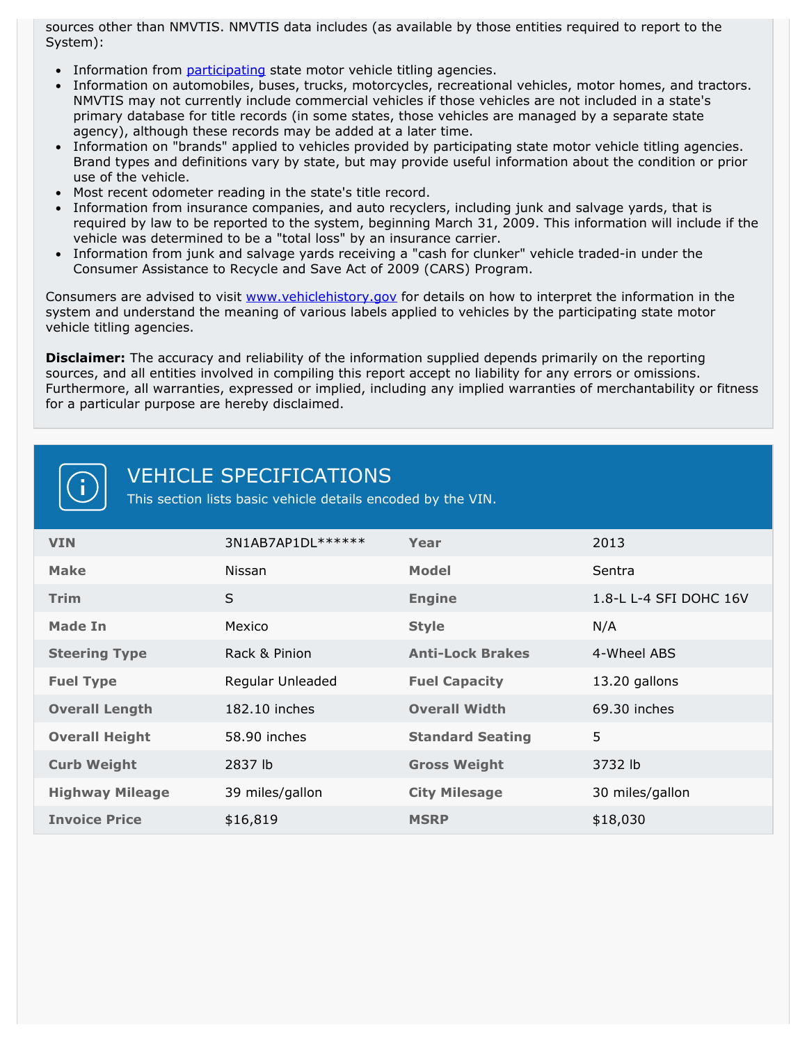sources other than NMVTIS. NMVTIS data includes (as available by those entities required to report to the System):

- Information from [participating](https://www.vehiclehistory.gov/nmvtis_states.html) state motor vehicle titling agencies.
- Information on automobiles, buses, trucks, motorcycles, recreational vehicles, motor homes, and tractors. NMVTIS may not currently include commercial vehicles if those vehicles are not included in <sup>a</sup> state's primary database for title records (in some states, those vehicles are managed by a separate state agency), although these records may be added at a later time.
- Information on "brands" applied to vehicles provided by participating state motor vehicle titling agencies. Brand types and definitions vary by state, but may provide useful information about the condition or prior use of the vehicle.
- 
- Most recent odometer reading in the state's title record.<br>Information from insurance companies, and auto recyclers, including junk and salvage yards, that is required by law to be reported to the system, beginning March 31, 2009. This information will include if the vehicle was determined to be a "total loss" by an insurance carrier.
- Information from junk and salvage yards receiving a "cash for clunker" vehicle traded-in under the Consumer Assistance to Recycle and Save Act of 2009 (CARS) Program.

Consumers are advised to visit [www.vehiclehistory.gov](https://www.vehiclehistory.gov/) for details on how to interpret the information in the system and understand the meaning of various labels applied to vehicles by the participating state motor vehicle titling agencies.

**Disclaimer:** The accuracy and reliability of the information supplied depends primarily on the reporting sources, and all entities involved in compiling this report accept no liability for any errors or omissions.<br>Furthermore, all warranties, expressed or implied, including any implied warranties of merchantability or fitness for a particular purpose are hereby disclaimed.



# VEHICLE SPECIFICATIONS

This section lists basic vehicle details encoded by the VIN.

| <b>VIN</b>             | 3N1AB7AP1DL ****** | Year                    | 2013                   |
|------------------------|--------------------|-------------------------|------------------------|
| <b>Make</b>            | <b>Nissan</b>      | <b>Model</b>            | Sentra                 |
| <b>Trim</b>            | S                  | <b>Engine</b>           | 1.8-L L-4 SFI DOHC 16V |
| <b>Made In</b>         | Mexico             | <b>Style</b>            | N/A                    |
| <b>Steering Type</b>   | Rack & Pinion      | <b>Anti-Lock Brakes</b> | 4-Wheel ABS            |
| <b>Fuel Type</b>       | Regular Unleaded   | <b>Fuel Capacity</b>    | 13.20 gallons          |
| <b>Overall Length</b>  | 182.10 inches      | <b>Overall Width</b>    | 69.30 inches           |
| <b>Overall Height</b>  | 58.90 inches       | <b>Standard Seating</b> | 5                      |
| <b>Curb Weight</b>     | 2837 lb            | <b>Gross Weight</b>     | 3732 lb                |
| <b>Highway Mileage</b> | 39 miles/gallon    | <b>City Milesage</b>    | 30 miles/gallon        |
| <b>Invoice Price</b>   | \$16,819           | <b>MSRP</b>             | \$18,030               |